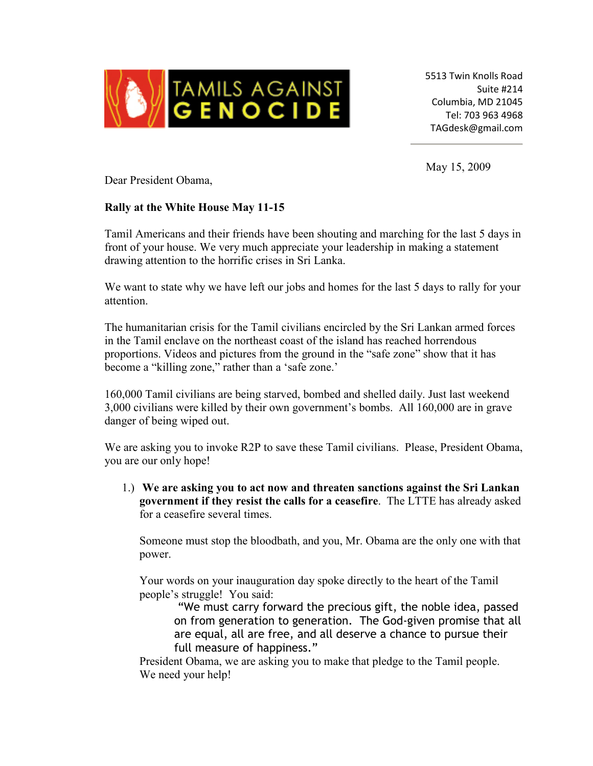

5513 Twin Knolls Road Suite #214 Columbia, MD 21045 Tel: 703 963 4968 TAGdesk@gmail.com

May 15, 2009

Dear President Obama,

## **Rally at the White House May 11-15**

Tamil Americans and their friends have been shouting and marching for the last 5 days in front of your house. We very much appreciate your leadership in making a statement drawing attention to the horrific crises in Sri Lanka.

We want to state why we have left our jobs and homes for the last 5 days to rally for your attention.

The humanitarian crisis for the Tamil civilians encircled by the Sri Lankan armed forces in the Tamil enclave on the northeast coast of the island has reached horrendous proportions. Videos and pictures from the ground in the "safe zone" show that it has become a "killing zone," rather than a 'safe zone.'

160,000 Tamil civilians are being starved, bombed and shelled daily. Just last weekend 3,000 civilians were killed by their own government's bombs. All 160,000 are in grave danger of being wiped out.

We are asking you to invoke R2P to save these Tamil civilians. Please, President Obama, you are our only hope!

1.) **We are asking you to act now and threaten sanctions against the Sri Lankan government if they resist the calls for a ceasefire**. The LTTE has already asked for a ceasefire several times.

Someone must stop the bloodbath, and you, Mr. Obama are the only one with that power.

Your words on your inauguration day spoke directly to the heart of the Tamil people's struggle! You said:

 "We must carry forward the precious gift, the noble idea, passed on from generation to generation. The God-given promise that all are equal, all are free, and all deserve a chance to pursue their full measure of happiness."

President Obama, we are asking you to make that pledge to the Tamil people. We need your help!